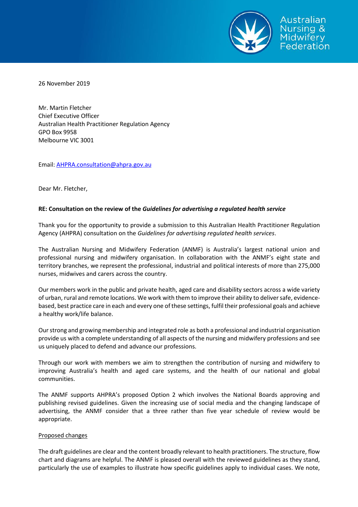

26 November 2019

Mr. Martin Fletcher Chief Executive Officer Australian Health Practitioner Regulation Agency GPO Box 9958 Melbourne VIC 3001

Email[: AHPRA.consultation@ahpra.gov.au](mailto:AHPRA.consultation@ahpra.gov.au)

Dear Mr. Fletcher,

## **RE: Consultation on the review of the** *Guidelines for advertising a regulated health service*

Thank you for the opportunity to provide a submission to this Australian Health Practitioner Regulation Agency (AHPRA) consultation on the *Guidelines for advertising regulated health services*.

The Australian Nursing and Midwifery Federation (ANMF) is Australia's largest national union and professional nursing and midwifery organisation. In collaboration with the ANMF's eight state and territory branches, we represent the professional, industrial and political interests of more than 275,000 nurses, midwives and carers across the country.

Our members work in the public and private health, aged care and disability sectors across a wide variety of urban, rural and remote locations. We work with them to improve their ability to deliver safe, evidencebased, best practice care in each and every one of these settings, fulfil their professional goals and achieve a healthy work/life balance.

Our strong and growing membership and integrated role as both a professional and industrial organisation provide us with a complete understanding of all aspects of the nursing and midwifery professions and see us uniquely placed to defend and advance our professions.

Through our work with members we aim to strengthen the contribution of nursing and midwifery to improving Australia's health and aged care systems, and the health of our national and global communities.

The ANMF supports AHPRA's proposed Option 2 which involves the National Boards approving and publishing revised guidelines. Given the increasing use of social media and the changing landscape of advertising, the ANMF consider that a three rather than five year schedule of review would be appropriate.

## Proposed changes

The draft guidelines are clear and the content broadly relevant to health practitioners. The structure, flow chart and diagrams are helpful. The ANMF is pleased overall with the reviewed guidelines as they stand, particularly the use of examples to illustrate how specific guidelines apply to individual cases. We note,